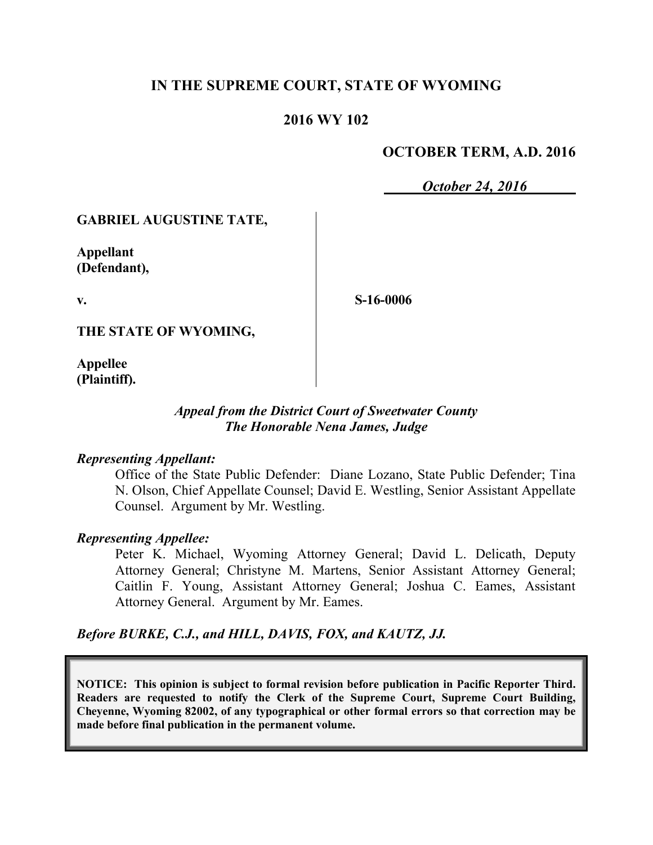### **IN THE SUPREME COURT, STATE OF WYOMING**

### **2016 WY 102**

### **OCTOBER TERM, A.D. 2016**

*October 24, 2016*

#### **GABRIEL AUGUSTINE TATE,**

**Appellant (Defendant),**

**v.**

**S-16-0006**

**THE STATE OF WYOMING,**

**Appellee (Plaintiff).**

### *Appeal from the District Court of Sweetwater County The Honorable Nena James, Judge*

#### *Representing Appellant:*

Office of the State Public Defender: Diane Lozano, State Public Defender; Tina N. Olson, Chief Appellate Counsel; David E. Westling, Senior Assistant Appellate Counsel. Argument by Mr. Westling.

#### *Representing Appellee:*

Peter K. Michael, Wyoming Attorney General; David L. Delicath, Deputy Attorney General; Christyne M. Martens, Senior Assistant Attorney General; Caitlin F. Young, Assistant Attorney General; Joshua C. Eames, Assistant Attorney General. Argument by Mr. Eames.

*Before BURKE, C.J., and HILL, DAVIS, FOX, and KAUTZ, JJ.*

**NOTICE: This opinion is subject to formal revision before publication in Pacific Reporter Third. Readers are requested to notify the Clerk of the Supreme Court, Supreme Court Building, Cheyenne, Wyoming 82002, of any typographical or other formal errors so that correction may be made before final publication in the permanent volume.**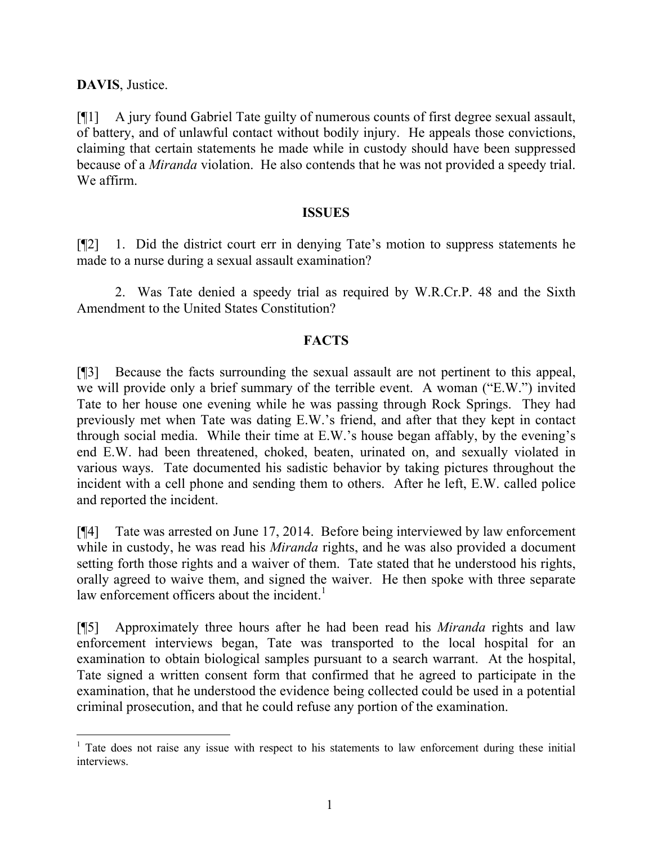**DAVIS**, Justice.

[¶1] A jury found Gabriel Tate guilty of numerous counts of first degree sexual assault, of battery, and of unlawful contact without bodily injury. He appeals those convictions, claiming that certain statements he made while in custody should have been suppressed because of a *Miranda* violation. He also contends that he was not provided a speedy trial. We affirm.

#### **ISSUES**

[¶2] 1. Did the district court err in denying Tate's motion to suppress statements he made to a nurse during a sexual assault examination?

2. Was Tate denied a speedy trial as required by W.R.Cr.P. 48 and the Sixth Amendment to the United States Constitution?

### **FACTS**

[¶3] Because the facts surrounding the sexual assault are not pertinent to this appeal, we will provide only a brief summary of the terrible event. A woman ("E.W.") invited Tate to her house one evening while he was passing through Rock Springs. They had previously met when Tate was dating E.W.'s friend, and after that they kept in contact through social media. While their time at E.W.'s house began affably, by the evening's end E.W. had been threatened, choked, beaten, urinated on, and sexually violated in various ways. Tate documented his sadistic behavior by taking pictures throughout the incident with a cell phone and sending them to others. After he left, E.W. called police and reported the incident.

[¶4] Tate was arrested on June 17, 2014. Before being interviewed by law enforcement while in custody, he was read his *Miranda* rights, and he was also provided a document setting forth those rights and a waiver of them. Tate stated that he understood his rights, orally agreed to waive them, and signed the waiver. He then spoke with three separate law enforcement officers about the incident.<sup>1</sup>

[¶5] Approximately three hours after he had been read his *Miranda* rights and law enforcement interviews began, Tate was transported to the local hospital for an examination to obtain biological samples pursuant to a search warrant. At the hospital, Tate signed a written consent form that confirmed that he agreed to participate in the examination, that he understood the evidence being collected could be used in a potential criminal prosecution, and that he could refuse any portion of the examination.

<sup>&</sup>lt;sup>1</sup> Tate does not raise any issue with respect to his statements to law enforcement during these initial interviews.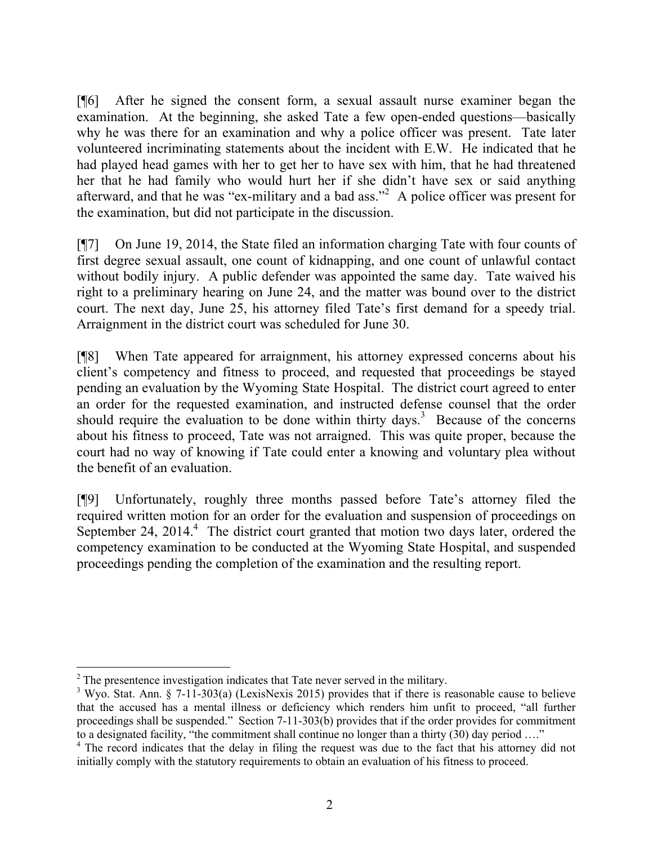[¶6] After he signed the consent form, a sexual assault nurse examiner began the examination. At the beginning, she asked Tate a few open-ended questions—basically why he was there for an examination and why a police officer was present. Tate later volunteered incriminating statements about the incident with E.W. He indicated that he had played head games with her to get her to have sex with him, that he had threatened her that he had family who would hurt her if she didn't have sex or said anything afterward, and that he was "ex-military and a bad ass."<sup>2</sup> A police officer was present for the examination, but did not participate in the discussion.

[¶7] On June 19, 2014, the State filed an information charging Tate with four counts of first degree sexual assault, one count of kidnapping, and one count of unlawful contact without bodily injury. A public defender was appointed the same day. Tate waived his right to a preliminary hearing on June 24, and the matter was bound over to the district court. The next day, June 25, his attorney filed Tate's first demand for a speedy trial. Arraignment in the district court was scheduled for June 30.

[¶8] When Tate appeared for arraignment, his attorney expressed concerns about his client's competency and fitness to proceed, and requested that proceedings be stayed pending an evaluation by the Wyoming State Hospital. The district court agreed to enter an order for the requested examination, and instructed defense counsel that the order should require the evaluation to be done within thirty days.<sup>3</sup> Because of the concerns about his fitness to proceed, Tate was not arraigned. This was quite proper, because the court had no way of knowing if Tate could enter a knowing and voluntary plea without the benefit of an evaluation.

[¶9] Unfortunately, roughly three months passed before Tate's attorney filed the required written motion for an order for the evaluation and suspension of proceedings on September 24, 2014.<sup>4</sup> The district court granted that motion two days later, ordered the competency examination to be conducted at the Wyoming State Hospital, and suspended proceedings pending the completion of the examination and the resulting report.

l

 $2<sup>2</sup>$  The presentence investigation indicates that Tate never served in the military.

<sup>&</sup>lt;sup>3</sup> Wyo. Stat. Ann. § 7-11-303(a) (LexisNexis 2015) provides that if there is reasonable cause to believe that the accused has a mental illness or deficiency which renders him unfit to proceed, "all further proceedings shall be suspended." Section 7-11-303(b) provides that if the order provides for commitment to a designated facility, "the commitment shall continue no longer than a thirty (30) day period ...."

<sup>&</sup>lt;sup>4</sup> The record indicates that the delay in filing the request was due to the fact that his attorney did not initially comply with the statutory requirements to obtain an evaluation of his fitness to proceed.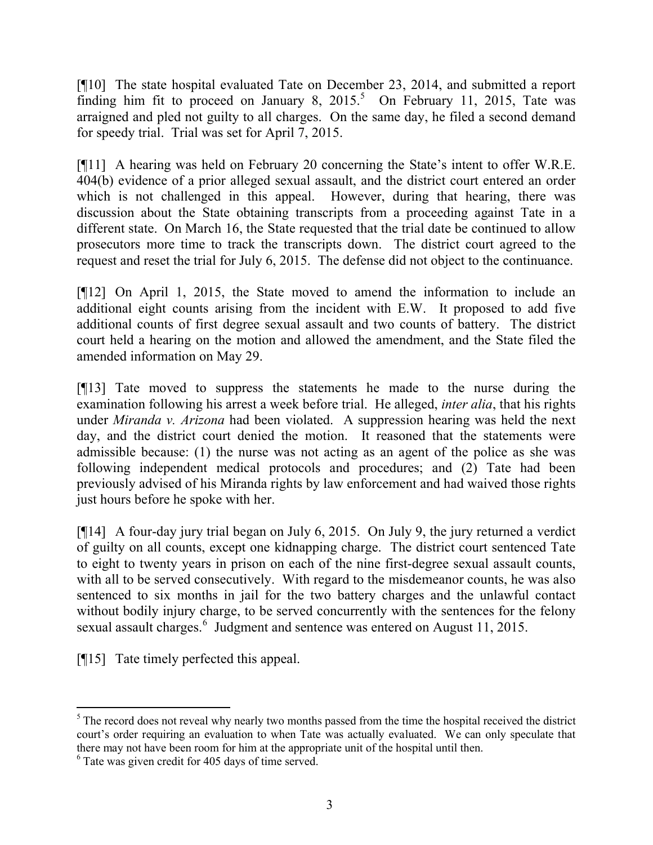[¶10] The state hospital evaluated Tate on December 23, 2014, and submitted a report finding him fit to proceed on January 8,  $2015$ .<sup>5</sup> On February 11, 2015, Tate was arraigned and pled not guilty to all charges. On the same day, he filed a second demand for speedy trial. Trial was set for April 7, 2015.

[¶11] A hearing was held on February 20 concerning the State's intent to offer W.R.E. 404(b) evidence of a prior alleged sexual assault, and the district court entered an order which is not challenged in this appeal. However, during that hearing, there was discussion about the State obtaining transcripts from a proceeding against Tate in a different state. On March 16, the State requested that the trial date be continued to allow prosecutors more time to track the transcripts down. The district court agreed to the request and reset the trial for July 6, 2015. The defense did not object to the continuance.

[¶12] On April 1, 2015, the State moved to amend the information to include an additional eight counts arising from the incident with E.W. It proposed to add five additional counts of first degree sexual assault and two counts of battery. The district court held a hearing on the motion and allowed the amendment, and the State filed the amended information on May 29.

[¶13] Tate moved to suppress the statements he made to the nurse during the examination following his arrest a week before trial. He alleged, *inter alia*, that his rights under *Miranda v. Arizona* had been violated. A suppression hearing was held the next day, and the district court denied the motion. It reasoned that the statements were admissible because: (1) the nurse was not acting as an agent of the police as she was following independent medical protocols and procedures; and (2) Tate had been previously advised of his Miranda rights by law enforcement and had waived those rights just hours before he spoke with her.

[¶14] A four-day jury trial began on July 6, 2015. On July 9, the jury returned a verdict of guilty on all counts, except one kidnapping charge. The district court sentenced Tate to eight to twenty years in prison on each of the nine first-degree sexual assault counts, with all to be served consecutively. With regard to the misdemeanor counts, he was also sentenced to six months in jail for the two battery charges and the unlawful contact without bodily injury charge, to be served concurrently with the sentences for the felony sexual assault charges.<sup>6</sup> Judgment and sentence was entered on August 11, 2015.

[¶15] Tate timely perfected this appeal.

l

<sup>&</sup>lt;sup>5</sup> The record does not reveal why nearly two months passed from the time the hospital received the district court's order requiring an evaluation to when Tate was actually evaluated. We can only speculate that there may not have been room for him at the appropriate unit of the hospital until then.

<sup>6</sup> Tate was given credit for 405 days of time served.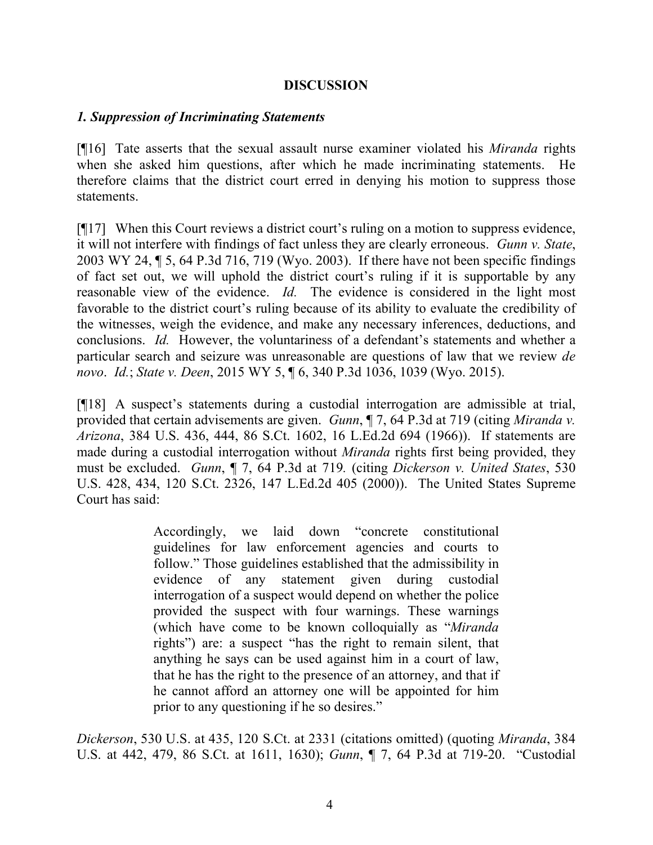#### **DISCUSSION**

### *1. Suppression of Incriminating Statements*

[¶16] Tate asserts that the sexual assault nurse examiner violated his *Miranda* rights when she asked him questions, after which he made incriminating statements. He therefore claims that the district court erred in denying his motion to suppress those statements.

[¶17] When this Court reviews a district court's ruling on a motion to suppress evidence, it will not interfere with findings of fact unless they are clearly erroneous. *Gunn v. State*, 2003 WY 24, ¶ 5, 64 P.3d 716, 719 (Wyo. 2003). If there have not been specific findings of fact set out, we will uphold the district court's ruling if it is supportable by any reasonable view of the evidence. *Id.* The evidence is considered in the light most favorable to the district court's ruling because of its ability to evaluate the credibility of the witnesses, weigh the evidence, and make any necessary inferences, deductions, and conclusions. *Id.* However, the voluntariness of a defendant's statements and whether a particular search and seizure was unreasonable are questions of law that we review *de novo*. *Id.*; *State v. Deen*, 2015 WY 5, ¶ 6, 340 P.3d 1036, 1039 (Wyo. 2015).

[¶18] A suspect's statements during a custodial interrogation are admissible at trial, provided that certain advisements are given. *Gunn*, ¶ 7, 64 P.3d at 719 (citing *Miranda v. Arizona*, 384 U.S. 436, 444, 86 S.Ct. 1602, 16 L.Ed.2d 694 (1966)). If statements are made during a custodial interrogation without *Miranda* rights first being provided, they must be excluded. *Gunn*, ¶ 7, 64 P.3d at 719*.* (citing *Dickerson v. United States*, 530 U.S. 428, 434, 120 S.Ct. 2326, 147 L.Ed.2d 405 (2000)). The United States Supreme Court has said:

> Accordingly, we laid down "concrete constitutional guidelines for law enforcement agencies and courts to follow." Those guidelines established that the admissibility in evidence of any statement given during custodial interrogation of a suspect would depend on whether the police provided the suspect with four warnings. These warnings (which have come to be known colloquially as "*Miranda* rights") are: a suspect "has the right to remain silent, that anything he says can be used against him in a court of law, that he has the right to the presence of an attorney, and that if he cannot afford an attorney one will be appointed for him prior to any questioning if he so desires."

*Dickerson*, 530 U.S. at 435, 120 S.Ct. at 2331 (citations omitted) (quoting *Miranda*, 384 U.S. at 442, 479, 86 S.Ct. at 1611, 1630); *Gunn*, ¶ 7, 64 P.3d at 719-20. "Custodial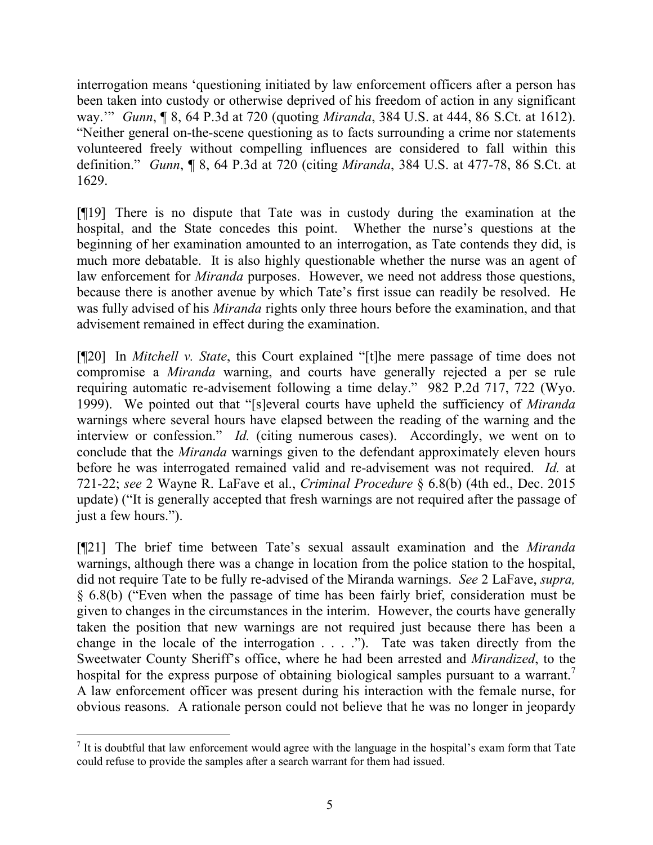interrogation means 'questioning initiated by law enforcement officers after a person has been taken into custody or otherwise deprived of his freedom of action in any significant way.'" *Gunn*, ¶ 8, 64 P.3d at 720 (quoting *Miranda*, 384 U.S. at 444, 86 S.Ct. at 1612). "Neither general on-the-scene questioning as to facts surrounding a crime nor statements volunteered freely without compelling influences are considered to fall within this definition." *Gunn*, ¶ 8, 64 P.3d at 720 (citing *Miranda*, 384 U.S. at 477-78, 86 S.Ct. at 1629.

[¶19] There is no dispute that Tate was in custody during the examination at the hospital, and the State concedes this point. Whether the nurse's questions at the beginning of her examination amounted to an interrogation, as Tate contends they did, is much more debatable. It is also highly questionable whether the nurse was an agent of law enforcement for *Miranda* purposes. However, we need not address those questions, because there is another avenue by which Tate's first issue can readily be resolved. He was fully advised of his *Miranda* rights only three hours before the examination, and that advisement remained in effect during the examination.

[¶20] In *Mitchell v. State*, this Court explained "[t]he mere passage of time does not compromise a *Miranda* warning, and courts have generally rejected a per se rule requiring automatic re-advisement following a time delay." 982 P.2d 717, 722 (Wyo. 1999). We pointed out that "[s]everal courts have upheld the sufficiency of *Miranda* warnings where several hours have elapsed between the reading of the warning and the interview or confession." *Id.* (citing numerous cases). Accordingly, we went on to conclude that the *Miranda* warnings given to the defendant approximately eleven hours before he was interrogated remained valid and re-advisement was not required. *Id.* at 721-22; *see* 2 Wayne R. LaFave et al., *Criminal Procedure* § 6.8(b) (4th ed., Dec. 2015 update) ("It is generally accepted that fresh warnings are not required after the passage of just a few hours.").

[¶21] The brief time between Tate's sexual assault examination and the *Miranda* warnings, although there was a change in location from the police station to the hospital, did not require Tate to be fully re-advised of the Miranda warnings. *See* 2 LaFave, *supra,* § 6.8(b) ("Even when the passage of time has been fairly brief, consideration must be given to changes in the circumstances in the interim. However, the courts have generally taken the position that new warnings are not required just because there has been a change in the locale of the interrogation . . . ."). Tate was taken directly from the Sweetwater County Sheriff's office, where he had been arrested and *Mirandized*, to the hospital for the express purpose of obtaining biological samples pursuant to a warrant. A law enforcement officer was present during his interaction with the female nurse, for obvious reasons. A rationale person could not believe that he was no longer in jeopardy

 $<sup>7</sup>$  It is doubtful that law enforcement would agree with the language in the hospital's exam form that Tate</sup> could refuse to provide the samples after a search warrant for them had issued.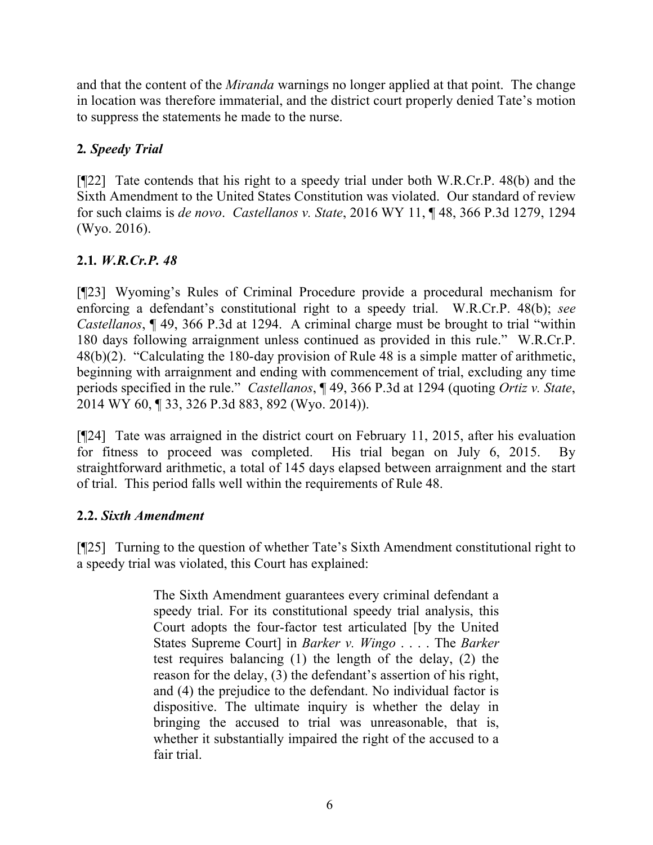and that the content of the *Miranda* warnings no longer applied at that point. The change in location was therefore immaterial, and the district court properly denied Tate's motion to suppress the statements he made to the nurse.

# **2***. Speedy Trial*

[¶22] Tate contends that his right to a speedy trial under both W.R.Cr.P. 48(b) and the Sixth Amendment to the United States Constitution was violated. Our standard of review for such claims is *de novo*. *Castellanos v. State*, 2016 WY 11, ¶ 48, 366 P.3d 1279, 1294 (Wyo. 2016).

# **2.1***. W.R.Cr.P. 48*

[¶23] Wyoming's Rules of Criminal Procedure provide a procedural mechanism for enforcing a defendant's constitutional right to a speedy trial. W.R.Cr.P. 48(b); *see Castellanos*, ¶ 49, 366 P.3d at 1294. A criminal charge must be brought to trial "within 180 days following arraignment unless continued as provided in this rule." W.R.Cr.P. 48(b)(2). "Calculating the 180-day provision of Rule 48 is a simple matter of arithmetic, beginning with arraignment and ending with commencement of trial, excluding any time periods specified in the rule." *Castellanos*, ¶ 49, 366 P.3d at 1294 (quoting *Ortiz v. State*, 2014 WY 60, ¶ 33, 326 P.3d 883, 892 (Wyo. 2014)).

[¶24] Tate was arraigned in the district court on February 11, 2015, after his evaluation for fitness to proceed was completed. His trial began on July 6, 2015. By straightforward arithmetic, a total of 145 days elapsed between arraignment and the start of trial. This period falls well within the requirements of Rule 48.

## **2.2.** *Sixth Amendment*

[¶25] Turning to the question of whether Tate's Sixth Amendment constitutional right to a speedy trial was violated, this Court has explained:

> The Sixth Amendment guarantees every criminal defendant a speedy trial. For its constitutional speedy trial analysis, this Court adopts the four-factor test articulated [by the United States Supreme Court] in *Barker v. Wingo* . . . . The *Barker* test requires balancing (1) the length of the delay, (2) the reason for the delay, (3) the defendant's assertion of his right, and (4) the prejudice to the defendant. No individual factor is dispositive. The ultimate inquiry is whether the delay in bringing the accused to trial was unreasonable, that is, whether it substantially impaired the right of the accused to a fair trial.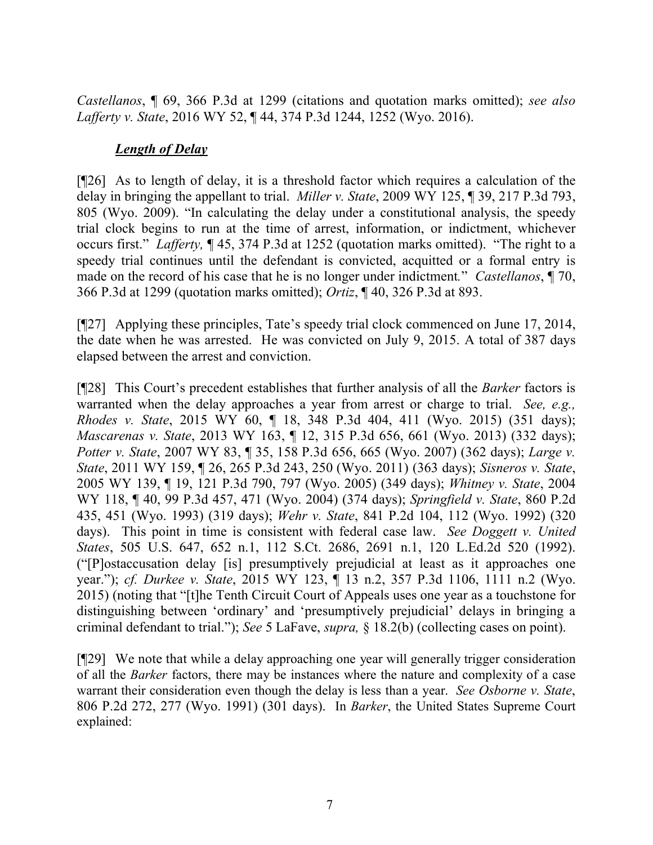*Castellanos*, ¶ 69, 366 P.3d at 1299 (citations and quotation marks omitted); *see also Lafferty v. State*, 2016 WY 52, ¶ 44, 374 P.3d 1244, 1252 (Wyo. 2016).

### *Length of Delay*

[¶26] As to length of delay, it is a threshold factor which requires a calculation of the delay in bringing the appellant to trial. *Miller v. State*, 2009 WY 125, ¶ 39, 217 P.3d 793, 805 (Wyo. 2009). "In calculating the delay under a constitutional analysis, the speedy trial clock begins to run at the time of arrest, information, or indictment, whichever occurs first." *Lafferty,* ¶ 45, 374 P.3d at 1252 (quotation marks omitted). "The right to a speedy trial continues until the defendant is convicted, acquitted or a formal entry is made on the record of his case that he is no longer under indictment*.*" *Castellanos*, ¶ 70, 366 P.3d at 1299 (quotation marks omitted); *Ortiz*, ¶ 40, 326 P.3d at 893.

[¶27] Applying these principles, Tate's speedy trial clock commenced on June 17, 2014, the date when he was arrested. He was convicted on July 9, 2015. A total of 387 days elapsed between the arrest and conviction.

[¶28] This Court's precedent establishes that further analysis of all the *Barker* factors is warranted when the delay approaches a year from arrest or charge to trial. *See, e.g., Rhodes v. State*, 2015 WY 60, ¶ 18, 348 P.3d 404, 411 (Wyo. 2015) (351 days); *Mascarenas v. State*, 2013 WY 163, ¶ 12, 315 P.3d 656, 661 (Wyo. 2013) (332 days); *Potter v. State*, 2007 WY 83, ¶ 35, 158 P.3d 656, 665 (Wyo. 2007) (362 days); *Large v. State*, 2011 WY 159, ¶ 26, 265 P.3d 243, 250 (Wyo. 2011) (363 days); *Sisneros v. State*, 2005 WY 139, ¶ 19, 121 P.3d 790, 797 (Wyo. 2005) (349 days); *Whitney v. State*, 2004 WY 118, ¶ 40, 99 P.3d 457, 471 (Wyo. 2004) (374 days); *Springfield v. State*, 860 P.2d 435, 451 (Wyo. 1993) (319 days); *Wehr v. State*, 841 P.2d 104, 112 (Wyo. 1992) (320 days). This point in time is consistent with federal case law. *See Doggett v. United States*, 505 U.S. 647, 652 n.1, 112 S.Ct. 2686, 2691 n.1, 120 L.Ed.2d 520 (1992). ("[P]ostaccusation delay [is] presumptively prejudicial at least as it approaches one year."); *cf. Durkee v. State*, 2015 WY 123, ¶ 13 n.2, 357 P.3d 1106, 1111 n.2 (Wyo. 2015) (noting that "[t]he Tenth Circuit Court of Appeals uses one year as a touchstone for distinguishing between 'ordinary' and 'presumptively prejudicial' delays in bringing a criminal defendant to trial."); *See* 5 LaFave, *supra,* § 18.2(b) (collecting cases on point).

[¶29] We note that while a delay approaching one year will generally trigger consideration of all the *Barker* factors, there may be instances where the nature and complexity of a case warrant their consideration even though the delay is less than a year. *See Osborne v. State*, 806 P.2d 272, 277 (Wyo. 1991) (301 days). In *Barker*, the United States Supreme Court explained: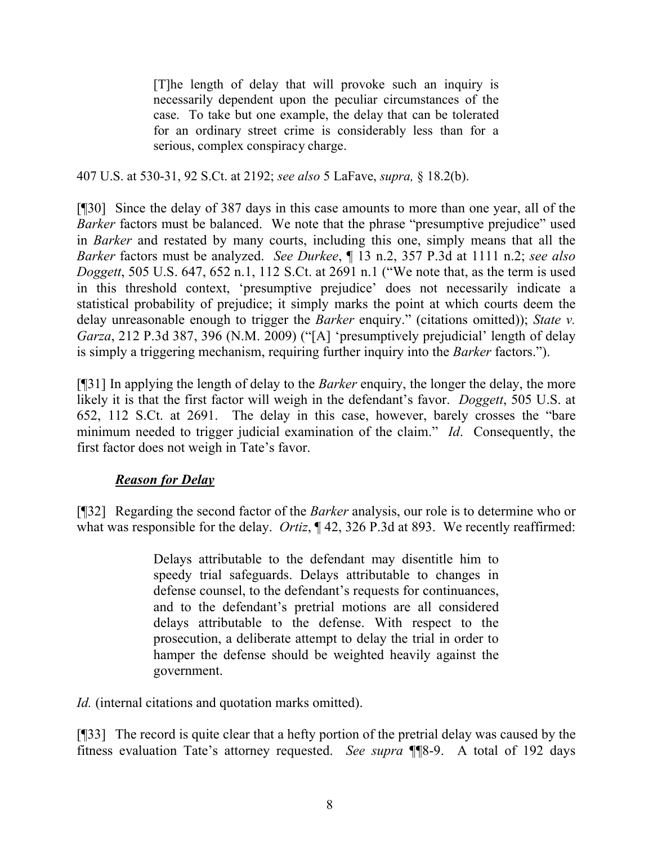[T]he length of delay that will provoke such an inquiry is necessarily dependent upon the peculiar circumstances of the case. To take but one example, the delay that can be tolerated for an ordinary street crime is considerably less than for a serious, complex conspiracy charge.

407 U.S. at 530-31, 92 S.Ct. at 2192; *see also* 5 LaFave, *supra,* § 18.2(b).

[¶30] Since the delay of 387 days in this case amounts to more than one year, all of the *Barker* factors must be balanced. We note that the phrase "presumptive prejudice" used in *Barker* and restated by many courts, including this one, simply means that all the *Barker* factors must be analyzed. *See Durkee*, ¶ 13 n.2, 357 P.3d at 1111 n.2; *see also Doggett*, 505 U.S. 647, 652 n.1, 112 S.Ct. at 2691 n.1 ("We note that, as the term is used in this threshold context, 'presumptive prejudice' does not necessarily indicate a statistical probability of prejudice; it simply marks the point at which courts deem the delay unreasonable enough to trigger the *Barker* enquiry." (citations omitted)); *State v. Garza*, 212 P.3d 387, 396 (N.M. 2009) ("[A] 'presumptively prejudicial' length of delay is simply a triggering mechanism, requiring further inquiry into the *Barker* factors.").

[¶31] In applying the length of delay to the *Barker* enquiry, the longer the delay, the more likely it is that the first factor will weigh in the defendant's favor. *Doggett*, 505 U.S. at 652, 112 S.Ct. at 2691. The delay in this case, however, barely crosses the "bare minimum needed to trigger judicial examination of the claim." *Id*. Consequently, the first factor does not weigh in Tate's favor.

## *Reason for Delay*

[¶32] Regarding the second factor of the *Barker* analysis, our role is to determine who or what was responsible for the delay. *Ortiz*,  $\P$  42, 326 P.3d at 893. We recently reaffirmed:

> Delays attributable to the defendant may disentitle him to speedy trial safeguards. Delays attributable to changes in defense counsel, to the defendant's requests for continuances, and to the defendant's pretrial motions are all considered delays attributable to the defense. With respect to the prosecution, a deliberate attempt to delay the trial in order to hamper the defense should be weighted heavily against the government.

*Id.* (internal citations and quotation marks omitted).

[¶33] The record is quite clear that a hefty portion of the pretrial delay was caused by the fitness evaluation Tate's attorney requested. *See supra* ¶¶8-9. A total of 192 days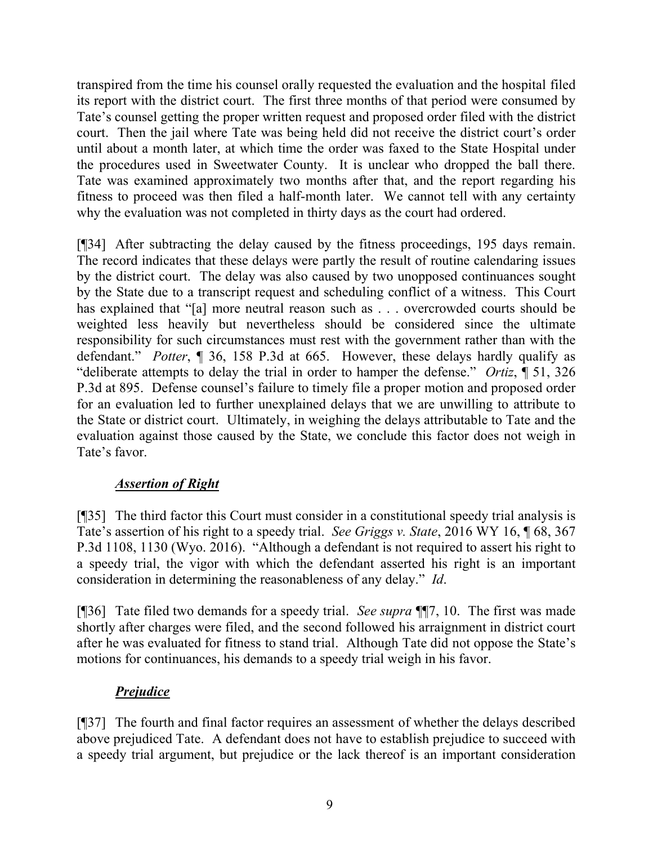transpired from the time his counsel orally requested the evaluation and the hospital filed its report with the district court. The first three months of that period were consumed by Tate's counsel getting the proper written request and proposed order filed with the district court. Then the jail where Tate was being held did not receive the district court's order until about a month later, at which time the order was faxed to the State Hospital under the procedures used in Sweetwater County. It is unclear who dropped the ball there. Tate was examined approximately two months after that, and the report regarding his fitness to proceed was then filed a half-month later. We cannot tell with any certainty why the evaluation was not completed in thirty days as the court had ordered.

[¶34] After subtracting the delay caused by the fitness proceedings, 195 days remain. The record indicates that these delays were partly the result of routine calendaring issues by the district court. The delay was also caused by two unopposed continuances sought by the State due to a transcript request and scheduling conflict of a witness. This Court has explained that "[a] more neutral reason such as . . . overcrowded courts should be weighted less heavily but nevertheless should be considered since the ultimate responsibility for such circumstances must rest with the government rather than with the defendant." *Potter*, ¶ 36, 158 P.3d at 665. However, these delays hardly qualify as "deliberate attempts to delay the trial in order to hamper the defense." *Ortiz*, ¶ 51, 326 P.3d at 895. Defense counsel's failure to timely file a proper motion and proposed order for an evaluation led to further unexplained delays that we are unwilling to attribute to the State or district court. Ultimately, in weighing the delays attributable to Tate and the evaluation against those caused by the State, we conclude this factor does not weigh in Tate's favor.

## *Assertion of Right*

[¶35] The third factor this Court must consider in a constitutional speedy trial analysis is Tate's assertion of his right to a speedy trial. *See Griggs v. State*, 2016 WY 16, ¶ 68, 367 P.3d 1108, 1130 (Wyo. 2016). "Although a defendant is not required to assert his right to a speedy trial, the vigor with which the defendant asserted his right is an important consideration in determining the reasonableness of any delay." *Id*.

[¶36] Tate filed two demands for a speedy trial. *See supra* ¶¶7, 10. The first was made shortly after charges were filed, and the second followed his arraignment in district court after he was evaluated for fitness to stand trial. Although Tate did not oppose the State's motions for continuances, his demands to a speedy trial weigh in his favor.

# *Prejudice*

[¶37] The fourth and final factor requires an assessment of whether the delays described above prejudiced Tate. A defendant does not have to establish prejudice to succeed with a speedy trial argument, but prejudice or the lack thereof is an important consideration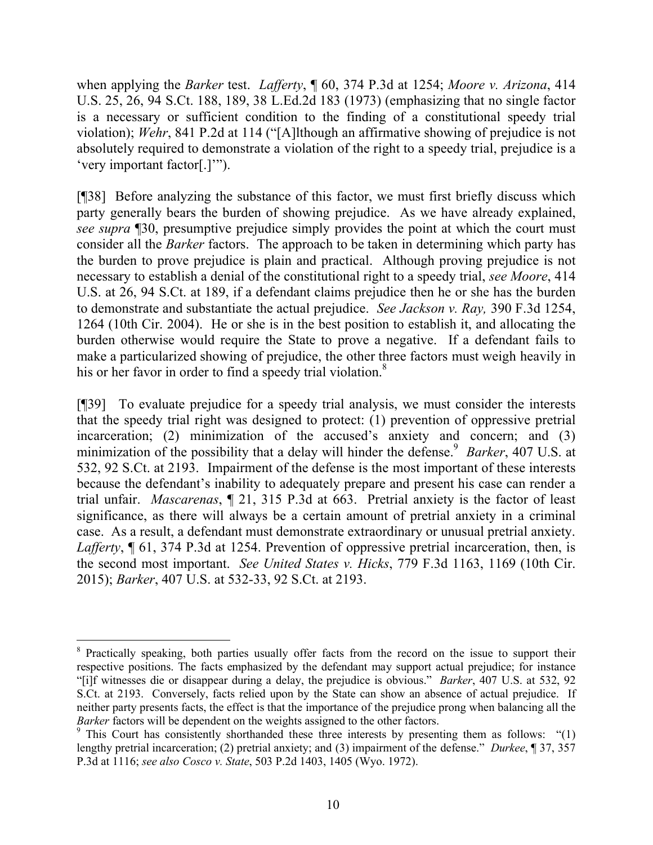when applying the *Barker* test. *Lafferty*, ¶ 60, 374 P.3d at 1254; *Moore v. Arizona*, 414 U.S. 25, 26, 94 S.Ct. 188, 189, 38 L.Ed.2d 183 (1973) (emphasizing that no single factor is a necessary or sufficient condition to the finding of a constitutional speedy trial violation); *Wehr*, 841 P.2d at 114 ("[A]lthough an affirmative showing of prejudice is not absolutely required to demonstrate a violation of the right to a speedy trial, prejudice is a 'very important factor[.]'").

[¶38] Before analyzing the substance of this factor, we must first briefly discuss which party generally bears the burden of showing prejudice. As we have already explained, *see supra* ¶30, presumptive prejudice simply provides the point at which the court must consider all the *Barker* factors. The approach to be taken in determining which party has the burden to prove prejudice is plain and practical. Although proving prejudice is not necessary to establish a denial of the constitutional right to a speedy trial, *see Moore*, 414 U.S. at 26, 94 S.Ct. at 189, if a defendant claims prejudice then he or she has the burden to demonstrate and substantiate the actual prejudice. *See Jackson v. Ray,* 390 F.3d 1254, 1264 (10th Cir. 2004). He or she is in the best position to establish it, and allocating the burden otherwise would require the State to prove a negative. If a defendant fails to make a particularized showing of prejudice, the other three factors must weigh heavily in his or her favor in order to find a speedy trial violation.<sup>8</sup>

[¶39] To evaluate prejudice for a speedy trial analysis, we must consider the interests that the speedy trial right was designed to protect: (1) prevention of oppressive pretrial incarceration; (2) minimization of the accused's anxiety and concern; and (3) minimization of the possibility that a delay will hinder the defense.<sup>9</sup> Barker, 407 U.S. at 532, 92 S.Ct. at 2193. Impairment of the defense is the most important of these interests because the defendant's inability to adequately prepare and present his case can render a trial unfair. *Mascarenas*, ¶ 21, 315 P.3d at 663. Pretrial anxiety is the factor of least significance, as there will always be a certain amount of pretrial anxiety in a criminal case. As a result, a defendant must demonstrate extraordinary or unusual pretrial anxiety. *Lafferty*, ¶ 61, 374 P.3d at 1254. Prevention of oppressive pretrial incarceration, then, is the second most important. *See United States v. Hicks*, 779 F.3d 1163, 1169 (10th Cir. 2015); *Barker*, 407 U.S. at 532-33, 92 S.Ct. at 2193.

 $\overline{a}$ <sup>8</sup> Practically speaking, both parties usually offer facts from the record on the issue to support their respective positions. The facts emphasized by the defendant may support actual prejudice; for instance "[i]f witnesses die or disappear during a delay, the prejudice is obvious." *Barker*, 407 U.S. at 532, 92 S.Ct. at 2193. Conversely, facts relied upon by the State can show an absence of actual prejudice. If neither party presents facts, the effect is that the importance of the prejudice prong when balancing all the *Barker* factors will be dependent on the weights assigned to the other factors.

<sup>&</sup>lt;sup>9</sup> This Court has consistently shorthanded these three interests by presenting them as follows: "(1) lengthy pretrial incarceration; (2) pretrial anxiety; and (3) impairment of the defense." *Durkee*, ¶ 37, 357 P.3d at 1116; *see also Cosco v. State*, 503 P.2d 1403, 1405 (Wyo. 1972).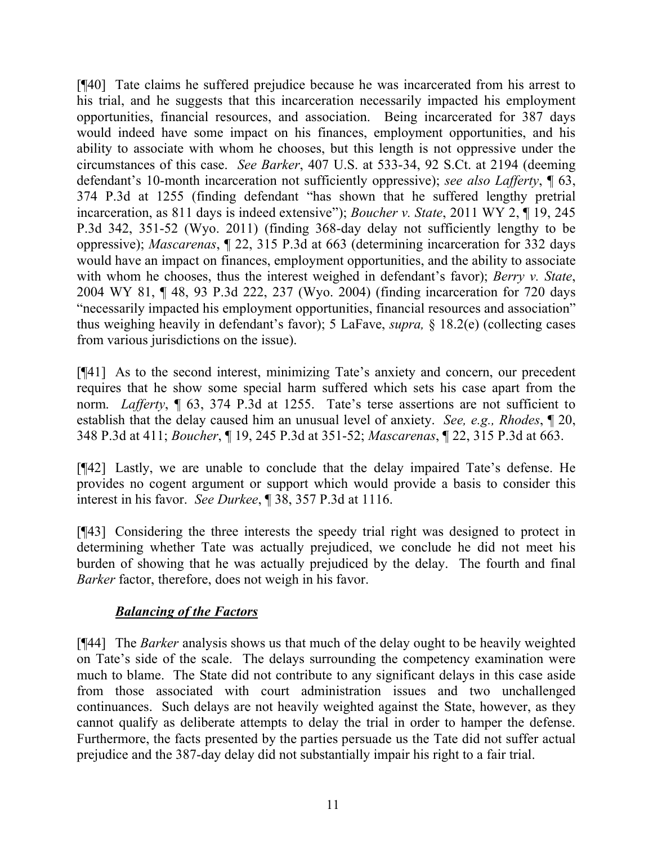[¶40] Tate claims he suffered prejudice because he was incarcerated from his arrest to his trial, and he suggests that this incarceration necessarily impacted his employment opportunities, financial resources, and association. Being incarcerated for 387 days would indeed have some impact on his finances, employment opportunities, and his ability to associate with whom he chooses, but this length is not oppressive under the circumstances of this case. *See Barker*, 407 U.S. at 533-34, 92 S.Ct. at 2194 (deeming defendant's 10-month incarceration not sufficiently oppressive); *see also Lafferty*, ¶ 63, 374 P.3d at 1255 (finding defendant "has shown that he suffered lengthy pretrial incarceration, as 811 days is indeed extensive"); *Boucher v. State*, 2011 WY 2, ¶ 19, 245 P.3d 342, 351-52 (Wyo. 2011) (finding 368-day delay not sufficiently lengthy to be oppressive); *Mascarenas*, ¶ 22, 315 P.3d at 663 (determining incarceration for 332 days would have an impact on finances, employment opportunities, and the ability to associate with whom he chooses, thus the interest weighed in defendant's favor); *Berry v. State*, 2004 WY 81, ¶ 48, 93 P.3d 222, 237 (Wyo. 2004) (finding incarceration for 720 days "necessarily impacted his employment opportunities, financial resources and association" thus weighing heavily in defendant's favor); 5 LaFave, *supra,* § 18.2(e) (collecting cases from various jurisdictions on the issue).

[¶41] As to the second interest, minimizing Tate's anxiety and concern, our precedent requires that he show some special harm suffered which sets his case apart from the norm. *Lafferty*, ¶ 63, 374 P.3d at 1255. Tate's terse assertions are not sufficient to establish that the delay caused him an unusual level of anxiety. *See, e.g., Rhodes*, ¶ 20, 348 P.3d at 411; *Boucher*, ¶ 19, 245 P.3d at 351-52; *Mascarenas*, ¶ 22, 315 P.3d at 663.

[¶42] Lastly, we are unable to conclude that the delay impaired Tate's defense. He provides no cogent argument or support which would provide a basis to consider this interest in his favor. *See Durkee*, ¶ 38, 357 P.3d at 1116.

[¶43] Considering the three interests the speedy trial right was designed to protect in determining whether Tate was actually prejudiced, we conclude he did not meet his burden of showing that he was actually prejudiced by the delay. The fourth and final *Barker* factor, therefore, does not weigh in his favor.

## *Balancing of the Factors*

[¶44] The *Barker* analysis shows us that much of the delay ought to be heavily weighted on Tate's side of the scale. The delays surrounding the competency examination were much to blame. The State did not contribute to any significant delays in this case aside from those associated with court administration issues and two unchallenged continuances. Such delays are not heavily weighted against the State, however, as they cannot qualify as deliberate attempts to delay the trial in order to hamper the defense. Furthermore, the facts presented by the parties persuade us the Tate did not suffer actual prejudice and the 387-day delay did not substantially impair his right to a fair trial.